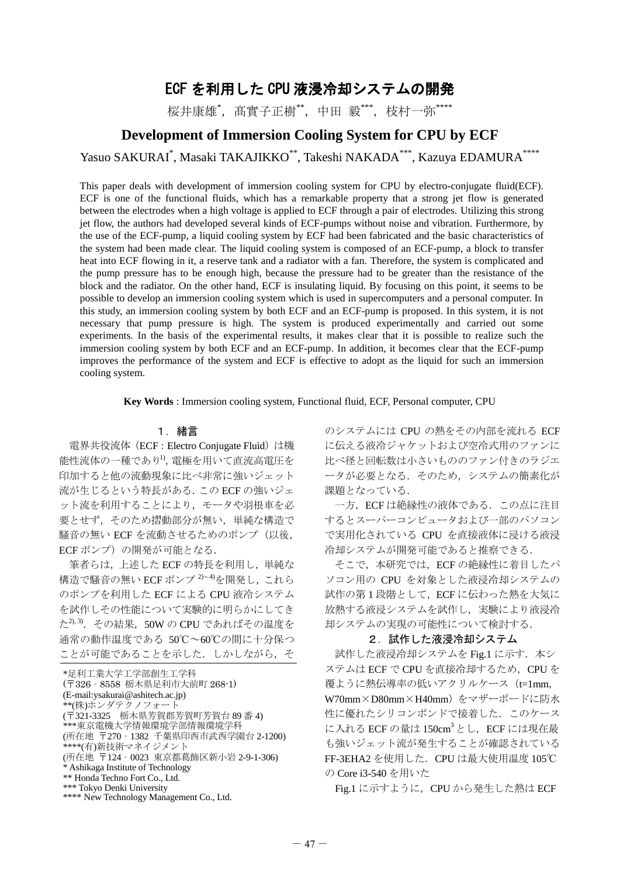# ECF を利用した CPU 液浸冷却システムの開発

桜井康雄\*, 髙實子正樹\*\*, 中田 毅\*\*\*, 枝村一弥\*\*\*\*

## **Development of Immersion Cooling System for CPU by ECF**

Yasuo SAKURAI<sup>\*</sup>, Masaki TAKAJIKKO<sup>\*\*</sup>, Takeshi NAKADA<sup>\*\*\*,</sup> Kazuya EDAMURA<sup>\*\*\*\*</sup>

This paper deals with development of immersion cooling system for CPU by electro-conjugate fluid(ECF). ECF is one of the functional fluids, which has a remarkable property that a strong jet flow is generated between the electrodes when a high voltage is applied to ECF through a pair of electrodes. Utilizing this strong jet flow, the authors had developed several kinds of ECF-pumps without noise and vibration. Furthermore, by the use of the ECF-pump, a liquid cooling system by ECF had been fabricated and the basic characteristics of the system had been made clear. The liquid cooling system is composed of an ECF-pump, a block to transfer heat into ECF flowing in it, a reserve tank and a radiator with a fan. Therefore, the system is complicated and the pump pressure has to be enough high, because the pressure had to be greater than the resistance of the block and the radiator. On the other hand, ECF is insulating liquid. By focusing on this point, it seems to be possible to develop an immersion cooling system which is used in supercomputers and a personal computer. In this study, an immersion cooling system by both ECF and an ECF-pump is proposed. In this system, it is not necessary that pump pressure is high. The system is produced experimentally and carried out some experiments. In the basis of the experimental results, it makes clear that it is possible to realize such the immersion cooling system by both ECF and an ECF-pump. In addition, it becomes clear that the ECF-pump improves the performance of the system and ECF is effective to adopt as the liquid for such an immersion cooling system.

**Key Words** : Immersion cooling system, Functional fluid, ECF, Personal computer, CPU

### 1.緒言

電界共役流体(ECF:Electro Conjugate Fluid)は機 能性流体の一種であり1),電極を用いて直流高電圧を 印加すると他の流動現象に比べ非常に強いジェット 流が生じるという特長がある.この ECF の強いジェ ット流を利用することにより,モータや羽根車を必 要とせず,そのため摺動部分が無い,単純な構造で 騒音の無い ECF を流動させるためのポンプ(以後, ECF ポンプ)の開発が可能となる.

筆者らは、上述した ECF の特長を利用し、単純な 構造で騒音の無い ECF ポンプ 2)~4)を開発し、これら のポンプを利用した ECF による CPU 液冷システム を試作しその性能について実験的に明らかにしてき た<sup>2), 3)</sup>. その結果, 50W の CPU であればその温度を 通常の動作温度である 50℃~60℃の間に十分保つ ことが可能であることを示した. しかしながら, そ

のシステムには CPU の熱をその内部を流れる ECF に伝える液冷ジャケットおよび空冷式用のファンに 比べ径と回転数は小さいもののファン付きのラジエ ータが必要となる.そのため,システムの簡素化が 課題となっている.

一方,ECF は絶縁性の液体である.この点に注目 するとスーパーコンピュータおよび一部のパソコン で実用化されている CPU を直接液体に浸ける液浸 冷却システムが開発可能であると推察できる.

そこで,本研究では,ECF の絶縁性に着目したパ ソコン用の CPU を対象とした液浸冷却システムの 試作の第1段階として, ECF に伝わった熱を大気に 放熱する液浸システムを試作し,実験により液浸冷 却システムの実現の可能性について検討する.

#### 2. 試作した液浸冷却システム

試作した液浸冷却システムを Fig.1 に示す. 本シ ステムは ECF で CPU を直接冷却するため、CPU を 覆ように熱伝導率の低いアクリルケース(t=1mm, W70mm×D80mm×H40mm)をマザーボードに防水 性に優れたシリコンボンドで接着した. このケース に入れる ECF の量は 150cm<sup>3</sup>とし、ECF には現在最 も強いジェット流が発生することが確認されている FF-3EHA2 を使用した.CPU は最大使用温度 105℃ の Core i3-540 を用いた

Fig.1 に示すように, CPU から発生した熱は ECF

<sup>\*</sup>足利工業大学工学部創生工学科 (〒326‐8558 栃木県足利市大前町 268-1) (E-mail:ysakurai@ashitech.ac.jp) \*\*(株)ホンダテクノフォート (〒321-3325 栃木県芳賀郡芳賀町芳賀台 89 番 4) \*\*\*東京電機大学情報環境学部情報環境学科 (所在地 〒270‐1382 千葉県印西市武西学園台 2-1200) \*\*\*\*(有)新技術マネイジメント (所在地 〒124‐0023 東京都葛飾区新小岩 2-9-1-306) \* Ashikaga Institute of Technology \*\* Honda Techno Fort Co., Ltd. \*\*\* Tokyo Denki University \*\*\*\* New Technology Management Co., Ltd.